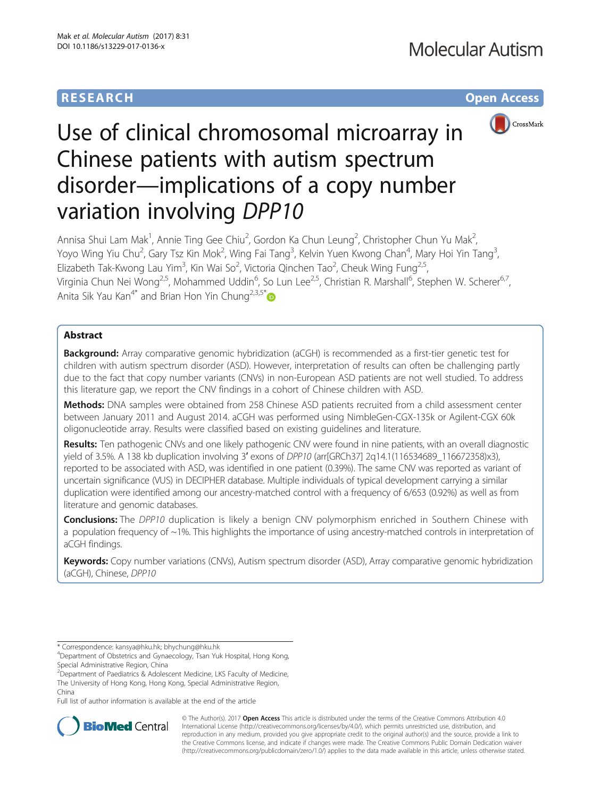## **RESEARCH CHE Open Access**



# Use of clinical chromosomal microarray in Chinese patients with autism spectrum disorder—implications of a copy number variation involving DPP10

Annisa Shui Lam Mak<sup>1</sup>, Annie Ting Gee Chiu<sup>2</sup>, Gordon Ka Chun Leung<sup>2</sup>, Christopher Chun Yu Mak<sup>2</sup> .<br>, Yoyo Wing Yiu Chu<sup>2</sup>, Gary Tsz Kin Mok<sup>2</sup>, Wing Fai Tang<sup>3</sup>, Kelvin Yuen Kwong Chan<sup>4</sup>, Mary Hoi Yin Tang<sup>3</sup> , Elizabeth Tak-Kwong Lau Yim<sup>3</sup>, Kin Wai So<sup>2</sup>, Victoria Qinchen Tao<sup>2</sup>, Cheuk Wing Fung<sup>2,5</sup>, Virginia Chun Nei Wong<sup>2,5</sup>, Mohammed Uddin<sup>6</sup>, So Lun Lee<sup>2,5</sup>, Christian R. Marshall<sup>6</sup>, Stephen W. Scherer<sup>6,7</sup>, Anita Sik Yau Kan<sup>4[\\*](http://orcid.org/0000-0002-7044-5916)</sup> and Brian Hon Yin Chung<sup>2,3,5\*</sup>

## Abstract

**Background:** Array comparative genomic hybridization (aCGH) is recommended as a first-tier genetic test for children with autism spectrum disorder (ASD). However, interpretation of results can often be challenging partly due to the fact that copy number variants (CNVs) in non-European ASD patients are not well studied. To address this literature gap, we report the CNV findings in a cohort of Chinese children with ASD.

Methods: DNA samples were obtained from 258 Chinese ASD patients recruited from a child assessment center between January 2011 and August 2014. aCGH was performed using NimbleGen-CGX-135k or Agilent-CGX 60k oligonucleotide array. Results were classified based on existing guidelines and literature.

Results: Ten pathogenic CNVs and one likely pathogenic CNV were found in nine patients, with an overall diagnostic yield of 3.5%. A 138 kb duplication involving 3′ exons of DPP10 (arr[GRCh37] 2q14.1(116534689\_116672358)x3), reported to be associated with ASD, was identified in one patient (0.39%). The same CNV was reported as variant of uncertain significance (VUS) in DECIPHER database. Multiple individuals of typical development carrying a similar duplication were identified among our ancestry-matched control with a frequency of 6/653 (0.92%) as well as from literature and genomic databases.

**Conclusions:** The DPP10 duplication is likely a benign CNV polymorphism enriched in Southern Chinese with a population frequency of  $\sim$ 1%. This highlights the importance of using ancestry-matched controls in interpretation of aCGH findings.

Keywords: Copy number variations (CNVs), Autism spectrum disorder (ASD), Array comparative genomic hybridization (aCGH), Chinese, DPP10

\* Correspondence: [kansya@hku.hk](mailto:kansya@hku.hk); [bhychung@hku.hk](mailto:bhychung@hku.hk) <sup>4</sup>

Department of Obstetrics and Gynaecology, Tsan Yuk Hospital, Hong Kong, Special Administrative Region, China

<sup>2</sup> Department of Paediatrics & Adolescent Medicine, LKS Faculty of Medicine, The University of Hong Kong, Hong Kong, Special Administrative Region, China

Full list of author information is available at the end of the article



© The Author(s). 2017 **Open Access** This article is distributed under the terms of the Creative Commons Attribution 4.0 International License [\(http://creativecommons.org/licenses/by/4.0/](http://creativecommons.org/licenses/by/4.0/)), which permits unrestricted use, distribution, and reproduction in any medium, provided you give appropriate credit to the original author(s) and the source, provide a link to the Creative Commons license, and indicate if changes were made. The Creative Commons Public Domain Dedication waiver [\(http://creativecommons.org/publicdomain/zero/1.0/](http://creativecommons.org/publicdomain/zero/1.0/)) applies to the data made available in this article, unless otherwise stated.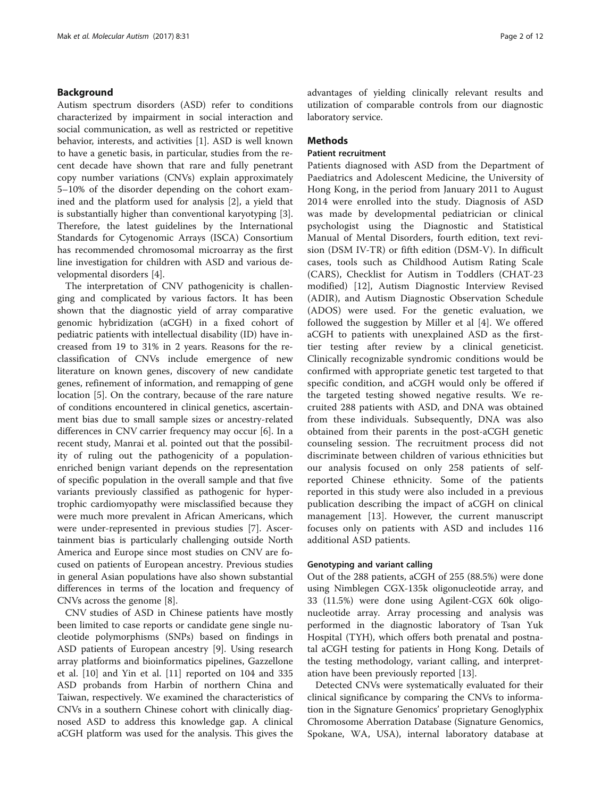## Background

Autism spectrum disorders (ASD) refer to conditions characterized by impairment in social interaction and social communication, as well as restricted or repetitive behavior, interests, and activities [\[1](#page-10-0)]. ASD is well known to have a genetic basis, in particular, studies from the recent decade have shown that rare and fully penetrant copy number variations (CNVs) explain approximately 5–10% of the disorder depending on the cohort examined and the platform used for analysis [\[2](#page-10-0)], a yield that is substantially higher than conventional karyotyping [\[3](#page-10-0)]. Therefore, the latest guidelines by the International Standards for Cytogenomic Arrays (ISCA) Consortium has recommended chromosomal microarray as the first line investigation for children with ASD and various developmental disorders [\[4\]](#page-10-0).

The interpretation of CNV pathogenicity is challenging and complicated by various factors. It has been shown that the diagnostic yield of array comparative genomic hybridization (aCGH) in a fixed cohort of pediatric patients with intellectual disability (ID) have increased from 19 to 31% in 2 years. Reasons for the reclassification of CNVs include emergence of new literature on known genes, discovery of new candidate genes, refinement of information, and remapping of gene location [[5\]](#page-10-0). On the contrary, because of the rare nature of conditions encountered in clinical genetics, ascertainment bias due to small sample sizes or ancestry-related differences in CNV carrier frequency may occur [[6\]](#page-10-0). In a recent study, Manrai et al. pointed out that the possibility of ruling out the pathogenicity of a populationenriched benign variant depends on the representation of specific population in the overall sample and that five variants previously classified as pathogenic for hypertrophic cardiomyopathy were misclassified because they were much more prevalent in African Americans, which were under-represented in previous studies [[7\]](#page-10-0). Ascertainment bias is particularly challenging outside North America and Europe since most studies on CNV are focused on patients of European ancestry. Previous studies in general Asian populations have also shown substantial differences in terms of the location and frequency of CNVs across the genome [[8\]](#page-10-0).

CNV studies of ASD in Chinese patients have mostly been limited to case reports or candidate gene single nucleotide polymorphisms (SNPs) based on findings in ASD patients of European ancestry [[9\]](#page-10-0). Using research array platforms and bioinformatics pipelines, Gazzellone et al. [[10\]](#page-10-0) and Yin et al. [\[11](#page-10-0)] reported on 104 and 335 ASD probands from Harbin of northern China and Taiwan, respectively. We examined the characteristics of CNVs in a southern Chinese cohort with clinically diagnosed ASD to address this knowledge gap. A clinical aCGH platform was used for the analysis. This gives the advantages of yielding clinically relevant results and utilization of comparable controls from our diagnostic laboratory service.

## **Methods**

## Patient recruitment

Patients diagnosed with ASD from the Department of Paediatrics and Adolescent Medicine, the University of Hong Kong, in the period from January 2011 to August 2014 were enrolled into the study. Diagnosis of ASD was made by developmental pediatrician or clinical psychologist using the Diagnostic and Statistical Manual of Mental Disorders, fourth edition, text revision (DSM IV-TR) or fifth edition (DSM-V). In difficult cases, tools such as Childhood Autism Rating Scale (CARS), Checklist for Autism in Toddlers (CHAT-23 modified) [[12\]](#page-10-0), Autism Diagnostic Interview Revised (ADIR), and Autism Diagnostic Observation Schedule (ADOS) were used. For the genetic evaluation, we followed the suggestion by Miller et al [[4\]](#page-10-0). We offered aCGH to patients with unexplained ASD as the firsttier testing after review by a clinical geneticist. Clinically recognizable syndromic conditions would be confirmed with appropriate genetic test targeted to that specific condition, and aCGH would only be offered if the targeted testing showed negative results. We recruited 288 patients with ASD, and DNA was obtained from these individuals. Subsequently, DNA was also obtained from their parents in the post-aCGH genetic counseling session. The recruitment process did not discriminate between children of various ethnicities but our analysis focused on only 258 patients of selfreported Chinese ethnicity. Some of the patients reported in this study were also included in a previous publication describing the impact of aCGH on clinical management [[13\]](#page-10-0). However, the current manuscript focuses only on patients with ASD and includes 116 additional ASD patients.

### Genotyping and variant calling

Out of the 288 patients, aCGH of 255 (88.5%) were done using Nimblegen CGX-135k oligonucleotide array, and 33 (11.5%) were done using Agilent-CGX 60k oligonucleotide array. Array processing and analysis was performed in the diagnostic laboratory of Tsan Yuk Hospital (TYH), which offers both prenatal and postnatal aCGH testing for patients in Hong Kong. Details of the testing methodology, variant calling, and interpretation have been previously reported [[13](#page-10-0)].

Detected CNVs were systematically evaluated for their clinical significance by comparing the CNVs to information in the Signature Genomics' proprietary Genoglyphix Chromosome Aberration Database (Signature Genomics, Spokane, WA, USA), internal laboratory database at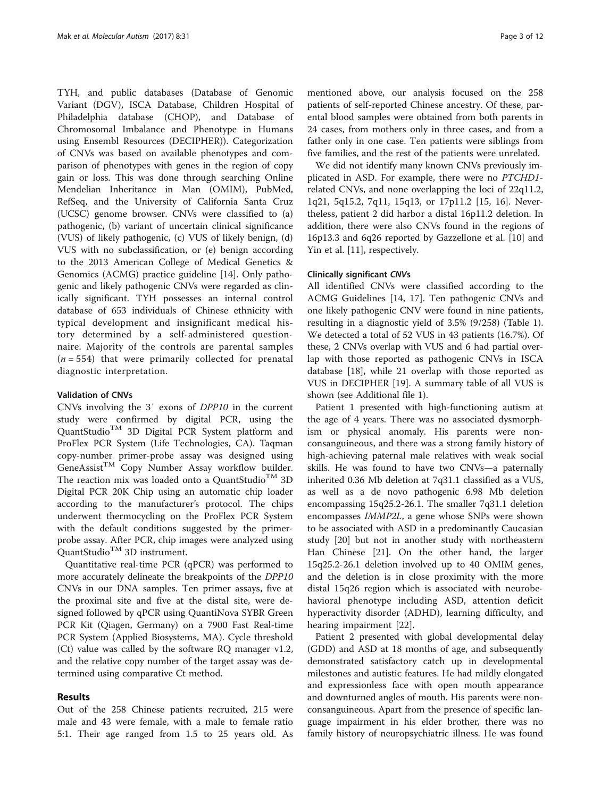TYH, and public databases (Database of Genomic Variant (DGV), ISCA Database, Children Hospital of Philadelphia database (CHOP), and Database of Chromosomal Imbalance and Phenotype in Humans using Ensembl Resources (DECIPHER)). Categorization of CNVs was based on available phenotypes and comparison of phenotypes with genes in the region of copy gain or loss. This was done through searching Online Mendelian Inheritance in Man (OMIM), PubMed, RefSeq, and the University of California Santa Cruz (UCSC) genome browser. CNVs were classified to (a) pathogenic, (b) variant of uncertain clinical significance (VUS) of likely pathogenic, (c) VUS of likely benign, (d) VUS with no subclassification, or (e) benign according to the 2013 American College of Medical Genetics & Genomics (ACMG) practice guideline [\[14\]](#page-10-0). Only pathogenic and likely pathogenic CNVs were regarded as clinically significant. TYH possesses an internal control database of 653 individuals of Chinese ethnicity with typical development and insignificant medical history determined by a self-administered questionnaire. Majority of the controls are parental samples  $(n = 554)$  that were primarily collected for prenatal diagnostic interpretation.

## Validation of CNVs

CNVs involving the 3′ exons of DPP10 in the current study were confirmed by digital PCR, using the QuantStudio<sup>TM</sup> 3D Digital PCR System platform and ProFlex PCR System (Life Technologies, CA). Taqman copy-number primer-probe assay was designed using  $GeneAssist^{TM}$  Copy Number Assay workflow builder. The reaction mix was loaded onto a QuantStudio<sup>TM</sup> 3D Digital PCR 20K Chip using an automatic chip loader according to the manufacturer's protocol. The chips underwent thermocycling on the ProFlex PCR System with the default conditions suggested by the primerprobe assay. After PCR, chip images were analyzed using OuantStudio<sup>TM</sup> 3D instrument.

Quantitative real-time PCR (qPCR) was performed to more accurately delineate the breakpoints of the DPP10 CNVs in our DNA samples. Ten primer assays, five at the proximal site and five at the distal site, were designed followed by qPCR using QuantiNova SYBR Green PCR Kit (Qiagen, Germany) on a 7900 Fast Real-time PCR System (Applied Biosystems, MA). Cycle threshold (Ct) value was called by the software RQ manager v1.2, and the relative copy number of the target assay was determined using comparative Ct method.

## Results

Out of the 258 Chinese patients recruited, 215 were male and 43 were female, with a male to female ratio 5:1. Their age ranged from 1.5 to 25 years old. As mentioned above, our analysis focused on the 258 patients of self-reported Chinese ancestry. Of these, parental blood samples were obtained from both parents in 24 cases, from mothers only in three cases, and from a father only in one case. Ten patients were siblings from five families, and the rest of the patients were unrelated.

We did not identify many known CNVs previously implicated in ASD. For example, there were no PTCHD1 related CNVs, and none overlapping the loci of 22q11.2, 1q21, 5q15.2, 7q11, 15q13, or 17p11.2 [[15, 16\]](#page-10-0). Nevertheless, patient 2 did harbor a distal 16p11.2 deletion. In addition, there were also CNVs found in the regions of 16p13.3 and 6q26 reported by Gazzellone et al. [\[10](#page-10-0)] and Yin et al. [\[11](#page-10-0)], respectively.

## Clinically significant CNVs

All identified CNVs were classified according to the ACMG Guidelines [[14, 17\]](#page-10-0). Ten pathogenic CNVs and one likely pathogenic CNV were found in nine patients, resulting in a diagnostic yield of 3.5% (9/258) (Table [1](#page-3-0)). We detected a total of 52 VUS in 43 patients (16.7%). Of these, 2 CNVs overlap with VUS and 6 had partial overlap with those reported as pathogenic CNVs in ISCA database [\[18](#page-10-0)], while 21 overlap with those reported as VUS in DECIPHER [\[19](#page-10-0)]. A summary table of all VUS is shown (see Additional file [1](#page-9-0)).

Patient 1 presented with high-functioning autism at the age of 4 years. There was no associated dysmorphism or physical anomaly. His parents were nonconsanguineous, and there was a strong family history of high-achieving paternal male relatives with weak social skills. He was found to have two CNVs—a paternally inherited 0.36 Mb deletion at 7q31.1 classified as a VUS, as well as a de novo pathogenic 6.98 Mb deletion encompassing 15q25.2-26.1. The smaller 7q31.1 deletion encompasses IMMP2L, a gene whose SNPs were shown to be associated with ASD in a predominantly Caucasian study [\[20](#page-10-0)] but not in another study with northeastern Han Chinese [[21](#page-10-0)]. On the other hand, the larger 15q25.2-26.1 deletion involved up to 40 OMIM genes, and the deletion is in close proximity with the more distal 15q26 region which is associated with neurobehavioral phenotype including ASD, attention deficit hyperactivity disorder (ADHD), learning difficulty, and hearing impairment [[22\]](#page-10-0).

Patient 2 presented with global developmental delay (GDD) and ASD at 18 months of age, and subsequently demonstrated satisfactory catch up in developmental milestones and autistic features. He had mildly elongated and expressionless face with open mouth appearance and downturned angles of mouth. His parents were nonconsanguineous. Apart from the presence of specific language impairment in his elder brother, there was no family history of neuropsychiatric illness. He was found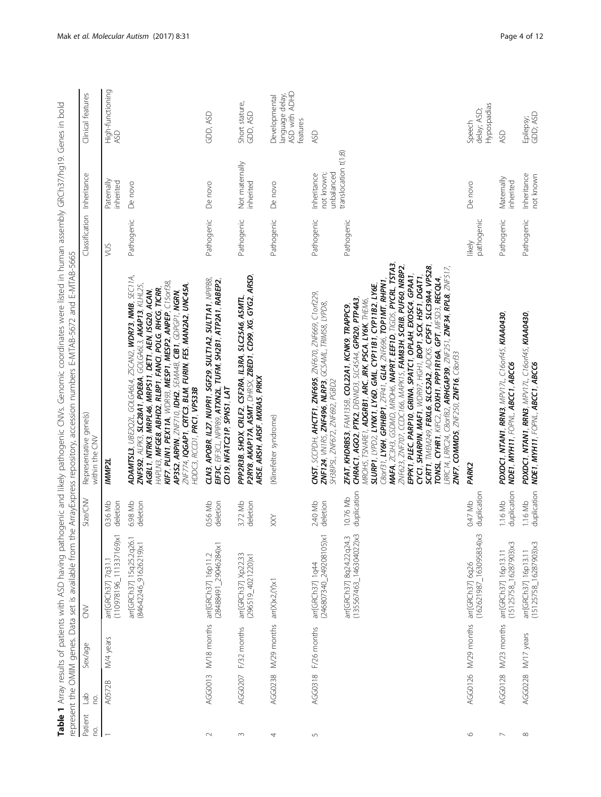<span id="page-3-0"></span>

|                                                                                                                                                                                                                                                                                                                                                                                                                                                                                                                                                                                                                                                                                                                                                                                                                                        | the ArrayExpress repository, accession numbers E-MTAB-5672 and E-MTAB-5665<br>Size/CNV<br>represent the OMIM genes. Data set is available from |
|----------------------------------------------------------------------------------------------------------------------------------------------------------------------------------------------------------------------------------------------------------------------------------------------------------------------------------------------------------------------------------------------------------------------------------------------------------------------------------------------------------------------------------------------------------------------------------------------------------------------------------------------------------------------------------------------------------------------------------------------------------------------------------------------------------------------------------------|------------------------------------------------------------------------------------------------------------------------------------------------|
| Representative gene(s)<br>within the CNV<br>IMMP2L                                                                                                                                                                                                                                                                                                                                                                                                                                                                                                                                                                                                                                                                                                                                                                                     | 0.36 Mb<br>deletion<br>$(110978196$ _111337169)x1                                                                                              |
| <b>ADAMTSL3</b> , UBE2Q2L, GOLGA6L4, ZSCAN2, WDR73, NMB, SEC11A,<br>KIF7, PLIN1, PEX11A, WDR93, MESP1, MESP2, ANPEP, C15orf38,<br>AP3S2, ARPIN, ZNF710, IDH2, SEMA48, CIB1, GDPGP1, NGRN,<br>ZNF774, IQGAP1, CRTC3, BLM, FURIN, FES, MAN2A2, UNC45A,<br>ZNF592, ALPK3, SLC28A1, PDE8A, GOLGA6L3, AKAP13, KLHL25,<br>HAPLN3, MFGE8, ABHD2, RLBP1, FANCI, POLG, RHCG, TICRR,<br>AGBL1, NTRK3, MRPL46, MRPS11, DET1, AEN, ISG20, ACAN,<br>HDDC3, RCCD1, PRC1, VPS33B                                                                                                                                                                                                                                                                                                                                                                      | deletion<br>6.98 Mb<br>arr[GRCh37] 15q25.2q26.1<br>84642246_91626219)x1                                                                        |
| CLN3, APOBR, IL27, NUPR1, SGF29, SULT1A2, SULT1A1, NPIPB8,<br>EIF3C, EIF3CL, NPIP89, ATXN2L, TUFM, SH2B1, ATP2A1, RABEP2,<br>CD19, NFATC21P, SPNS1, LAT                                                                                                                                                                                                                                                                                                                                                                                                                                                                                                                                                                                                                                                                                | deletion<br>0.56 Mb<br>[28488491_29046284)x1                                                                                                   |
| PPP2R3B, SHOX, CRLF2, CSF2RA, IL3RA, SLC25A6, ASMTL.<br>P2RY8, AKAP17A, ASMT, DHRSX, ZBEDT, CD99, XG, GYG2, ARSD,<br>ARSE, ARSH, ARSF, MXRAS, PRKX                                                                                                                                                                                                                                                                                                                                                                                                                                                                                                                                                                                                                                                                                     | deletion<br>3.72 Mb                                                                                                                            |
| (Klinefelter syndrome)                                                                                                                                                                                                                                                                                                                                                                                                                                                                                                                                                                                                                                                                                                                                                                                                                 | XX                                                                                                                                             |
| CNST, SCCPDH, AHCTF1, ZNF695, ZNF670, ZNF669, C1orf229,<br><b>ZNF124</b> , VN IRS, <b>ZNF496, NLRP3</b> , GCSAML, TRIMS8, LYPD8,<br>SH3BPSL, ZNF672, ZNF692, PGBD2                                                                                                                                                                                                                                                                                                                                                                                                                                                                                                                                                                                                                                                                     | deletion<br>2.40 Mb<br>(246807340_249208105)x1                                                                                                 |
| MAFA, ZC3H3, GSDMD, MROH6, MAPRT, EEF1D, TIGD5, PYCRL, TSTA3,<br>SCRT1, TMEM249, FBXL6, SLC52A2, ADCK5, CPSF1, SLC39A4, VPS28,<br>ZNF623, ZNF707, CCDC166, MAPK15, FAM83H, SCRIB, PUF60, NRBP2,<br>LRRC14, LRRC24, C8orf82, <b>ARHGAP39,</b> ZNF251, <b>ZNF34, RPL8</b> , ZNF517,<br>CYC1, SHARPIN, MAF1, WDR97, HGH1, BOP1, SCX, HSF1, DGAT1,<br>EPPK1, PLEC, PARP10, GRINA, SPATC1, OPLAH, EXOSC4, GPAA1<br>TONSL, CYHR1, KIFC2, FOXH1, PPP1R16A, GPT, MFSD3, RECQL4,<br>$C8$ orf31, LY6H, GPIHBP1, ZFP41, GLI4, ZNF696, TOP1MT, RHPN1,<br>SLURP1, LYPD2, LYNX1, LY6D, GML, CYP11B1, CYP11B2, LY6E,<br><b>CHRÁC1, AGO2, PTK2,</b> DENND3, SLC45A4, <b>GPR20, PTP4A3,</b><br>MROH5, TSNARE1, <b>ADGRB1, ARC, JRK, PSCA, LY6K</b> , THEN6,<br>ZFAT, KHDRBS3, FAM135B, COL22A1, KCNK9, TRAPPC9,<br>ZNF7, COMMD5, ZNF250, ZNF16, C80rf33 | duplication<br>10.76 Mb<br>$(135567463 146304022) \times 3$<br>arr[GRCh37] 8q24.22q24.3                                                        |
| <b>PARK2</b>                                                                                                                                                                                                                                                                                                                                                                                                                                                                                                                                                                                                                                                                                                                                                                                                                           | duplication<br>0.47 Mb<br>$(162621987 - 163095834)x3$                                                                                          |
| PDXDC1, NTAN1, RRN3, MPV17L, C16orf45, KIAA0430,<br>NDE1, MYH11, FOPNL, ABCC1, ABCC6                                                                                                                                                                                                                                                                                                                                                                                                                                                                                                                                                                                                                                                                                                                                                   | duplication<br>1.16 Mb<br>$(15125758 - 16287903)x3$                                                                                            |
| PDXDC1, NTAN1, RRN3, MPV17L, C16orf45, KIAA0430,<br>NDE1, MYH11, FOPNL, ABCC1, ABCC6<br>duplication                                                                                                                                                                                                                                                                                                                                                                                                                                                                                                                                                                                                                                                                                                                                    | 1.16 Mb<br>$(15125758 - 16287903)x3$                                                                                                           |

pathonenic and likely pathonenic CNVs. Genomic condinates were listed in burman assembly GRCh37/h019. Genes in bold Table 1 Array results of patients with ASD having pathogenic and likely pathogenic CNVs. Genomic coordinates were listed in human assembly GRCh37/hg19. Genes in bold Table 1 Array results of patients with ASD having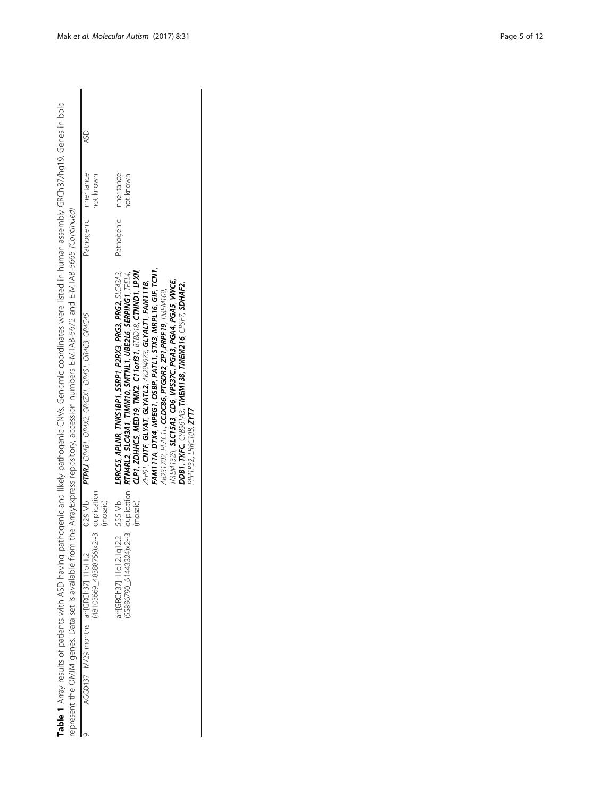| Table 1 Array results of patients with ASD having pathogenic and likely pathogenic ClNVs. Genomic coordinates were listed in human assembly GRCh37/hg19. Genes in bold |                                                                                                                                                                                                                                                                                                                                                                                                                                                                                                                                                                                                        |                        |                  |
|------------------------------------------------------------------------------------------------------------------------------------------------------------------------|--------------------------------------------------------------------------------------------------------------------------------------------------------------------------------------------------------------------------------------------------------------------------------------------------------------------------------------------------------------------------------------------------------------------------------------------------------------------------------------------------------------------------------------------------------------------------------------------------------|------------------------|------------------|
| represent the OMIM genes. Data set is available from the ArrayExpress repository, accession numbers E-MTAB-5672 and E-MTAB-5665 (Continued)                            |                                                                                                                                                                                                                                                                                                                                                                                                                                                                                                                                                                                                        |                        |                  |
| (48103669_48388756)x2~3 duplication<br>(mosaic)<br>AGG0437 M/29 months arr[GRCh37] 11p11.2                                                                             | $0.29$ Mb $PTPRJ$ , $OR4B1$ , $OR4X2$ , $OR4ZX1$ , $OR4S1$ , $OR4C3$ , $OR4C45$                                                                                                                                                                                                                                                                                                                                                                                                                                                                                                                        | Pathogenic Inheritance | ASD<br>not known |
| arr[GRCh37] 11q12.1q12.2 5.55 Mb<br>(mosaic)                                                                                                                           | FAM111A, DTX4, MPEG1, OSBP, PATL1, STX3, MRPL16, GIF, TCN1,<br>LRRCSS, APLNR, TNKS1BP1, SSRP1, P2RX3, PRG3, PRG2, SLC43A3,<br>CLP1, ZDHHC5, MED19, TMX2. C11orf31, BTBD18, CTNND1, LPXN,<br>55896790_61443324)x2~3_duplication_ <b>RTM4RL2, SLC43A1, TIMM10, SMTNL1, UBE2L6, SERPING1</b> , TPEL4,<br>${\sf ZFPOI},$ CNTF, GLYAT, GLYATL2, ${\sf AK2}$ 94973, GLYALT1, FAM111B,<br>TMEM132A, SLC15A3, CD6, VPS37C, PGA3, PGA4, PGA5, VWCE,<br>DDB1, TKFC, CYB561A3, TMEM138, TMEM216, CPSF7, SDHAF2,<br>AB231702, PLAC1L, <b>CCDC86, PTGDR2, ZP1,PRPF19,</b> TMEM109,<br>PPP1R32, LRRC10B, <b>ZYT7</b> | Pathogenic Inheritance | not known        |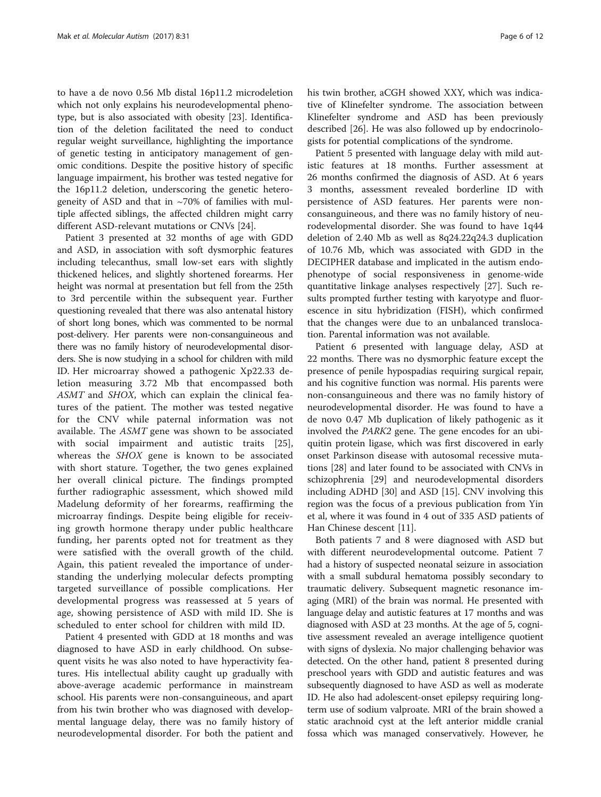to have a de novo 0.56 Mb distal 16p11.2 microdeletion which not only explains his neurodevelopmental phenotype, but is also associated with obesity [[23\]](#page-10-0). Identification of the deletion facilitated the need to conduct regular weight surveillance, highlighting the importance of genetic testing in anticipatory management of genomic conditions. Despite the positive history of specific language impairment, his brother was tested negative for the 16p11.2 deletion, underscoring the genetic heterogeneity of ASD and that in  $\sim$ 70% of families with multiple affected siblings, the affected children might carry different ASD-relevant mutations or CNVs [[24](#page-10-0)].

Patient 3 presented at 32 months of age with GDD and ASD, in association with soft dysmorphic features including telecanthus, small low-set ears with slightly thickened helices, and slightly shortened forearms. Her height was normal at presentation but fell from the 25th to 3rd percentile within the subsequent year. Further questioning revealed that there was also antenatal history of short long bones, which was commented to be normal post-delivery. Her parents were non-consanguineous and there was no family history of neurodevelopmental disorders. She is now studying in a school for children with mild ID. Her microarray showed a pathogenic Xp22.33 deletion measuring 3.72 Mb that encompassed both ASMT and SHOX, which can explain the clinical features of the patient. The mother was tested negative for the CNV while paternal information was not available. The ASMT gene was shown to be associated with social impairment and autistic traits [\[25](#page-10-0)], whereas the SHOX gene is known to be associated with short stature. Together, the two genes explained her overall clinical picture. The findings prompted further radiographic assessment, which showed mild Madelung deformity of her forearms, reaffirming the microarray findings. Despite being eligible for receiving growth hormone therapy under public healthcare funding, her parents opted not for treatment as they were satisfied with the overall growth of the child. Again, this patient revealed the importance of understanding the underlying molecular defects prompting targeted surveillance of possible complications. Her developmental progress was reassessed at 5 years of age, showing persistence of ASD with mild ID. She is scheduled to enter school for children with mild ID.

Patient 4 presented with GDD at 18 months and was diagnosed to have ASD in early childhood. On subsequent visits he was also noted to have hyperactivity features. His intellectual ability caught up gradually with above-average academic performance in mainstream school. His parents were non-consanguineous, and apart from his twin brother who was diagnosed with developmental language delay, there was no family history of neurodevelopmental disorder. For both the patient and his twin brother, aCGH showed XXY, which was indicative of Klinefelter syndrome. The association between Klinefelter syndrome and ASD has been previously described [[26\]](#page-10-0). He was also followed up by endocrinologists for potential complications of the syndrome.

Patient 5 presented with language delay with mild autistic features at 18 months. Further assessment at 26 months confirmed the diagnosis of ASD. At 6 years 3 months, assessment revealed borderline ID with persistence of ASD features. Her parents were nonconsanguineous, and there was no family history of neurodevelopmental disorder. She was found to have 1q44 deletion of 2.40 Mb as well as 8q24.22q24.3 duplication of 10.76 Mb, which was associated with GDD in the DECIPHER database and implicated in the autism endophenotype of social responsiveness in genome-wide quantitative linkage analyses respectively [\[27\]](#page-10-0). Such results prompted further testing with karyotype and fluorescence in situ hybridization (FISH), which confirmed that the changes were due to an unbalanced translocation. Parental information was not available.

Patient 6 presented with language delay, ASD at 22 months. There was no dysmorphic feature except the presence of penile hypospadias requiring surgical repair, and his cognitive function was normal. His parents were non-consanguineous and there was no family history of neurodevelopmental disorder. He was found to have a de novo 0.47 Mb duplication of likely pathogenic as it involved the PARK2 gene. The gene encodes for an ubiquitin protein ligase, which was first discovered in early onset Parkinson disease with autosomal recessive mutations [\[28\]](#page-10-0) and later found to be associated with CNVs in schizophrenia [[29](#page-10-0)] and neurodevelopmental disorders including ADHD [\[30\]](#page-10-0) and ASD [[15\]](#page-10-0). CNV involving this region was the focus of a previous publication from Yin et al, where it was found in 4 out of 335 ASD patients of Han Chinese descent [\[11](#page-10-0)].

Both patients 7 and 8 were diagnosed with ASD but with different neurodevelopmental outcome. Patient 7 had a history of suspected neonatal seizure in association with a small subdural hematoma possibly secondary to traumatic delivery. Subsequent magnetic resonance imaging (MRI) of the brain was normal. He presented with language delay and autistic features at 17 months and was diagnosed with ASD at 23 months. At the age of 5, cognitive assessment revealed an average intelligence quotient with signs of dyslexia. No major challenging behavior was detected. On the other hand, patient 8 presented during preschool years with GDD and autistic features and was subsequently diagnosed to have ASD as well as moderate ID. He also had adolescent-onset epilepsy requiring longterm use of sodium valproate. MRI of the brain showed a static arachnoid cyst at the left anterior middle cranial fossa which was managed conservatively. However, he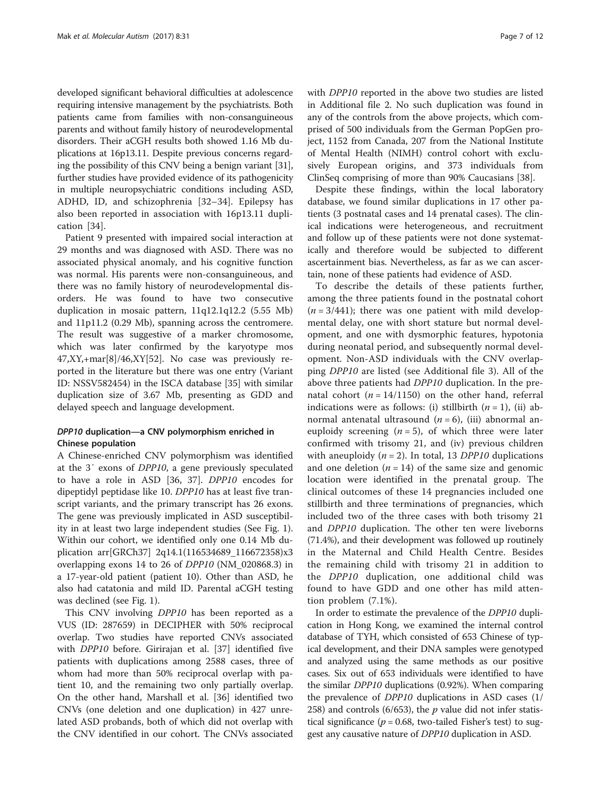developed significant behavioral difficulties at adolescence requiring intensive management by the psychiatrists. Both patients came from families with non-consanguineous parents and without family history of neurodevelopmental disorders. Their aCGH results both showed 1.16 Mb duplications at 16p13.11. Despite previous concerns regarding the possibility of this CNV being a benign variant [[31](#page-10-0)], further studies have provided evidence of its pathogenicity in multiple neuropsychiatric conditions including ASD, ADHD, ID, and schizophrenia [[32](#page-10-0)–[34\]](#page-10-0). Epilepsy has also been reported in association with 16p13.11 duplication [\[34](#page-10-0)].

Patient 9 presented with impaired social interaction at 29 months and was diagnosed with ASD. There was no associated physical anomaly, and his cognitive function was normal. His parents were non-consanguineous, and there was no family history of neurodevelopmental disorders. He was found to have two consecutive duplication in mosaic pattern, 11q12.1q12.2 (5.55 Mb) and 11p11.2 (0.29 Mb), spanning across the centromere. The result was suggestive of a marker chromosome, which was later confirmed by the karyotype mos 47,XY,+mar[8]/46,XY[52]. No case was previously reported in the literature but there was one entry (Variant ID: NSSV582454) in the ISCA database [[35\]](#page-10-0) with similar duplication size of 3.67 Mb, presenting as GDD and delayed speech and language development.

## DPP10 duplication—a CNV polymorphism enriched in Chinese population

A Chinese-enriched CNV polymorphism was identified at the 3′ exons of DPP10, a gene previously speculated to have a role in ASD [\[36](#page-11-0), [37\]](#page-11-0). DPP10 encodes for dipeptidyl peptidase like 10. DPP10 has at least five transcript variants, and the primary transcript has 26 exons. The gene was previously implicated in ASD susceptibility in at least two large independent studies (See Fig. [1](#page-7-0)). Within our cohort, we identified only one 0.14 Mb duplication arr[GRCh37] 2q14.1(116534689\_116672358)x3 overlapping exons 14 to 26 of DPP10 (NM\_020868.3) in a 17-year-old patient (patient 10). Other than ASD, he also had catatonia and mild ID. Parental aCGH testing was declined (see Fig. [1](#page-7-0)).

This CNV involving DPP10 has been reported as a VUS (ID: 287659) in DECIPHER with 50% reciprocal overlap. Two studies have reported CNVs associated with DPP10 before. Girirajan et al. [\[37](#page-11-0)] identified five patients with duplications among 2588 cases, three of whom had more than 50% reciprocal overlap with patient 10, and the remaining two only partially overlap. On the other hand, Marshall et al. [[36\]](#page-11-0) identified two CNVs (one deletion and one duplication) in 427 unrelated ASD probands, both of which did not overlap with the CNV identified in our cohort. The CNVs associated

with DPP10 reported in the above two studies are listed in Additional file [2](#page-9-0). No such duplication was found in any of the controls from the above projects, which comprised of 500 individuals from the German PopGen project, 1152 from Canada, 207 from the National Institute of Mental Health (NIMH) control cohort with exclusively European origins, and 373 individuals from ClinSeq comprising of more than 90% Caucasians [\[38](#page-11-0)].

Despite these findings, within the local laboratory database, we found similar duplications in 17 other patients (3 postnatal cases and 14 prenatal cases). The clinical indications were heterogeneous, and recruitment and follow up of these patients were not done systematically and therefore would be subjected to different ascertainment bias. Nevertheless, as far as we can ascertain, none of these patients had evidence of ASD.

To describe the details of these patients further, among the three patients found in the postnatal cohort  $(n = 3/441)$ ; there was one patient with mild developmental delay, one with short stature but normal development, and one with dysmorphic features, hypotonia during neonatal period, and subsequently normal development. Non-ASD individuals with the CNV overlapping DPP10 are listed (see Additional file [3](#page-9-0)). All of the above three patients had DPP10 duplication. In the prenatal cohort ( $n = 14/1150$ ) on the other hand, referral indications were as follows: (i) stillbirth  $(n = 1)$ , (ii) abnormal antenatal ultrasound  $(n = 6)$ , (iii) abnormal aneuploidy screening  $(n = 5)$ , of which three were later confirmed with trisomy 21, and (iv) previous children with aneuploidy  $(n = 2)$ . In total, 13 DPP10 duplications and one deletion  $(n = 14)$  of the same size and genomic location were identified in the prenatal group. The clinical outcomes of these 14 pregnancies included one stillbirth and three terminations of pregnancies, which included two of the three cases with both trisomy 21 and DPP10 duplication. The other ten were liveborns (71.4%), and their development was followed up routinely in the Maternal and Child Health Centre. Besides the remaining child with trisomy 21 in addition to the DPP10 duplication, one additional child was found to have GDD and one other has mild attention problem (7.1%).

In order to estimate the prevalence of the DPP10 duplication in Hong Kong, we examined the internal control database of TYH, which consisted of 653 Chinese of typical development, and their DNA samples were genotyped and analyzed using the same methods as our positive cases. Six out of 653 individuals were identified to have the similar DPP10 duplications (0.92%). When comparing the prevalence of DPP10 duplications in ASD cases (1/ 258) and controls (6/653), the  $p$  value did not infer statistical significance ( $p = 0.68$ , two-tailed Fisher's test) to suggest any causative nature of DPP10 duplication in ASD.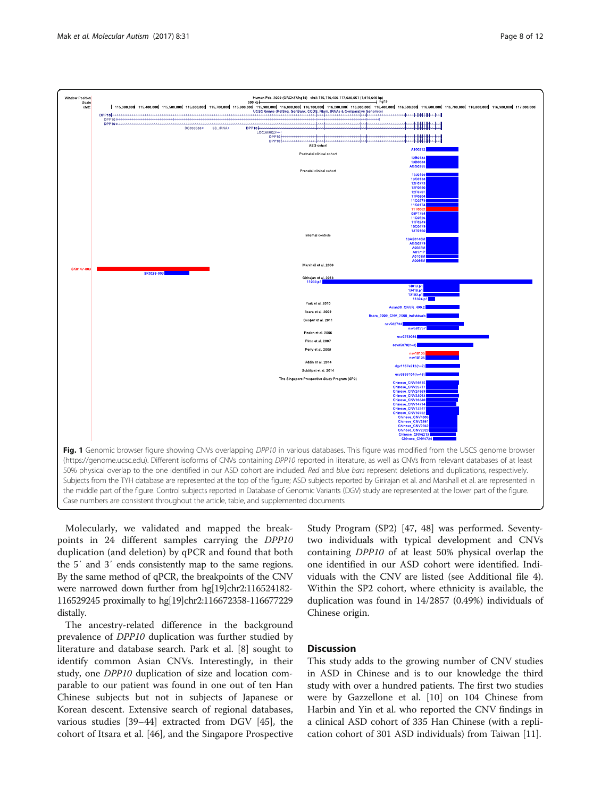<span id="page-7-0"></span>

Molecularly, we validated and mapped the breakpoints in 24 different samples carrying the DPP10 duplication (and deletion) by qPCR and found that both the 5′ and 3′ ends consistently map to the same regions. By the same method of qPCR, the breakpoints of the CNV were narrowed down further from hg[19]chr2:116524182- 116529245 proximally to hg[19]chr2:116672358-116677229 distally.

The ancestry-related difference in the background prevalence of DPP10 duplication was further studied by literature and database search. Park et al. [[8\]](#page-10-0) sought to identify common Asian CNVs. Interestingly, in their study, one DPP10 duplication of size and location comparable to our patient was found in one out of ten Han Chinese subjects but not in subjects of Japanese or Korean descent. Extensive search of regional databases, various studies [\[39](#page-11-0)–[44\]](#page-11-0) extracted from DGV [[45](#page-11-0)], the cohort of Itsara et al. [[46](#page-11-0)], and the Singapore Prospective Study Program (SP2) [\[47, 48](#page-11-0)] was performed. Seventytwo individuals with typical development and CNVs containing DPP10 of at least 50% physical overlap the one identified in our ASD cohort were identified. Individuals with the CNV are listed (see Additional file [4](#page-9-0)). Within the SP2 cohort, where ethnicity is available, the duplication was found in 14/2857 (0.49%) individuals of Chinese origin.

## **Discussion**

This study adds to the growing number of CNV studies in ASD in Chinese and is to our knowledge the third study with over a hundred patients. The first two studies were by Gazzellone et al. [[10\]](#page-10-0) on 104 Chinese from Harbin and Yin et al. who reported the CNV findings in a clinical ASD cohort of 335 Han Chinese (with a replication cohort of 301 ASD individuals) from Taiwan [[11](#page-10-0)].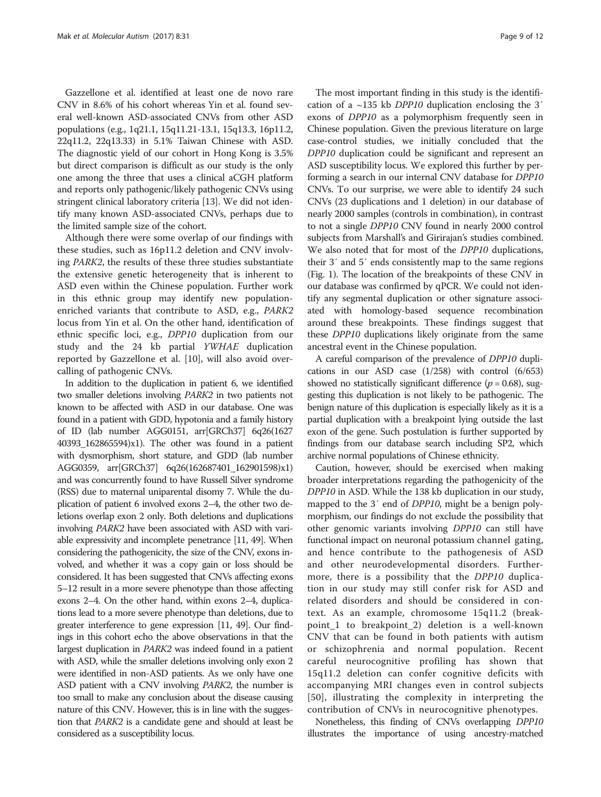Gazzellone et al. identified at least one de novo rare CNV in 8.6% of his cohort whereas Yin et al. found several well-known ASD-associated CNVs from other ASD populations (e.g., 1q21.1, 15q11.21-13.1, 15q13.3, 16p11.2, 22q11.2, 22q13.33) in 5.1% Taiwan Chinese with ASD. The diagnostic yield of our cohort in Hong Kong is 3.5% but direct comparison is difficult as our study is the only one among the three that uses a clinical aCGH platform and reports only pathogenic/likely pathogenic CNVs using stringent clinical laboratory criteria [\[13](#page-10-0)]. We did not identify many known ASD-associated CNVs, perhaps due to the limited sample size of the cohort.

Although there were some overlap of our findings with these studies, such as 16p11.2 deletion and CNV involving PARK2, the results of these three studies substantiate the extensive genetic heterogeneity that is inherent to ASD even within the Chinese population. Further work in this ethnic group may identify new populationenriched variants that contribute to ASD, e.g., PARK2 locus from Yin et al. On the other hand, identification of ethnic specific loci, e.g., DPP10 duplication from our study and the 24 kb partial YWHAE duplication reported by Gazzellone et al. [[10\]](#page-10-0), will also avoid overcalling of pathogenic CNVs.

In addition to the duplication in patient 6, we identified two smaller deletions involving PARK2 in two patients not known to be affected with ASD in our database. One was found in a patient with GDD, hypotonia and a family history of ID (lab number AGG0151, arr[GRCh37] 6q26(1627 40393\_162865594)x1). The other was found in a patient with dysmorphism, short stature, and GDD (lab number AGG0359, arr[GRCh37] 6q26(162687401\_162901598)x1) and was concurrently found to have Russell Silver syndrome (RSS) due to maternal uniparental disomy 7. While the duplication of patient 6 involved exons 2–4, the other two deletions overlap exon 2 only. Both deletions and duplications involving PARK2 have been associated with ASD with variable expressivity and incomplete penetrance [[11,](#page-10-0) [49](#page-11-0)]. When considering the pathogenicity, the size of the CNV, exons involved, and whether it was a copy gain or loss should be considered. It has been suggested that CNVs affecting exons 5–12 result in a more severe phenotype than those affecting exons 2–4. On the other hand, within exons 2–4, duplications lead to a more severe phenotype than deletions, due to greater interference to gene expression [[11,](#page-10-0) [49](#page-11-0)]. Our findings in this cohort echo the above observations in that the largest duplication in PARK2 was indeed found in a patient with ASD, while the smaller deletions involving only exon 2 were identified in non-ASD patients. As we only have one ASD patient with a CNV involving PARK2, the number is too small to make any conclusion about the disease causing nature of this CNV. However, this is in line with the suggestion that PARK2 is a candidate gene and should at least be considered as a susceptibility locus.

The most important finding in this study is the identification of a ~135 kb DPP10 duplication enclosing the 3′ exons of DPP10 as a polymorphism frequently seen in Chinese population. Given the previous literature on large case-control studies, we initially concluded that the DPP10 duplication could be significant and represent an ASD susceptibility locus. We explored this further by performing a search in our internal CNV database for DPP10 CNVs. To our surprise, we were able to identify 24 such CNVs (23 duplications and 1 deletion) in our database of nearly 2000 samples (controls in combination), in contrast to not a single DPP10 CNV found in nearly 2000 control subjects from Marshall's and Girirajan's studies combined. We also noted that for most of the DPP10 duplications, their 3′ and 5′ ends consistently map to the same regions (Fig. [1](#page-7-0)). The location of the breakpoints of these CNV in our database was confirmed by qPCR. We could not identify any segmental duplication or other signature associated with homology-based sequence recombination around these breakpoints. These findings suggest that these DPP10 duplications likely originate from the same ancestral event in the Chinese population.

A careful comparison of the prevalence of DPP10 duplications in our ASD case (1/258) with control (6/653) showed no statistically significant difference ( $p = 0.68$ ), suggesting this duplication is not likely to be pathogenic. The benign nature of this duplication is especially likely as it is a partial duplication with a breakpoint lying outside the last exon of the gene. Such postulation is further supported by findings from our database search including SP2, which archive normal populations of Chinese ethnicity.

Caution, however, should be exercised when making broader interpretations regarding the pathogenicity of the DPP10 in ASD. While the 138 kb duplication in our study, mapped to the 3' end of *DPP10*, might be a benign polymorphism, our findings do not exclude the possibility that other genomic variants involving DPP10 can still have functional impact on neuronal potassium channel gating, and hence contribute to the pathogenesis of ASD and other neurodevelopmental disorders. Furthermore, there is a possibility that the DPP10 duplication in our study may still confer risk for ASD and related disorders and should be considered in context. As an example, chromosome 15q11.2 (breakpoint\_1 to breakpoint\_2) deletion is a well-known CNV that can be found in both patients with autism or schizophrenia and normal population. Recent careful neurocognitive profiling has shown that 15q11.2 deletion can confer cognitive deficits with accompanying MRI changes even in control subjects [[50](#page-11-0)], illustrating the complexity in interpreting the contribution of CNVs in neurocognitive phenotypes.

Nonetheless, this finding of CNVs overlapping DPP10 illustrates the importance of using ancestry-matched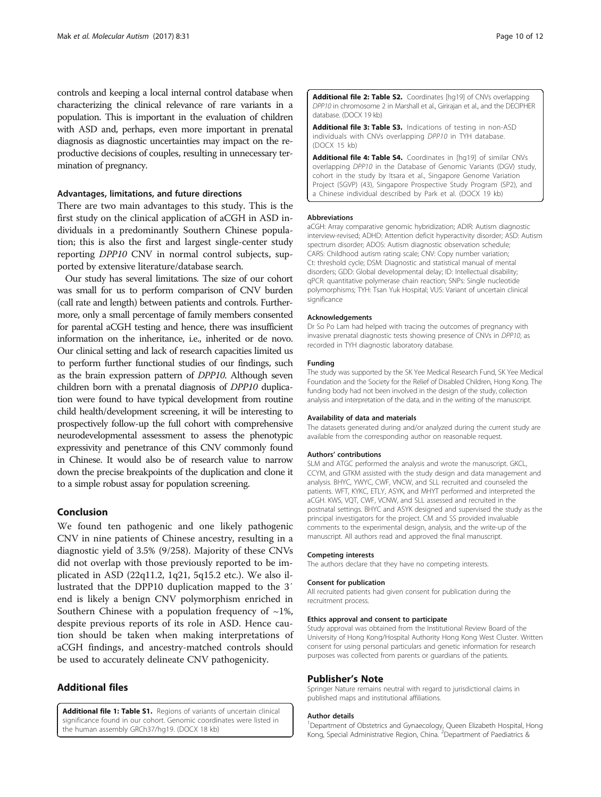<span id="page-9-0"></span>controls and keeping a local internal control database when characterizing the clinical relevance of rare variants in a population. This is important in the evaluation of children with ASD and, perhaps, even more important in prenatal diagnosis as diagnostic uncertainties may impact on the reproductive decisions of couples, resulting in unnecessary termination of pregnancy.

## Advantages, limitations, and future directions

There are two main advantages to this study. This is the first study on the clinical application of aCGH in ASD individuals in a predominantly Southern Chinese population; this is also the first and largest single-center study reporting DPP10 CNV in normal control subjects, supported by extensive literature/database search.

Our study has several limitations. The size of our cohort was small for us to perform comparison of CNV burden (call rate and length) between patients and controls. Furthermore, only a small percentage of family members consented for parental aCGH testing and hence, there was insufficient information on the inheritance, i.e., inherited or de novo. Our clinical setting and lack of research capacities limited us to perform further functional studies of our findings, such as the brain expression pattern of DPP10. Although seven children born with a prenatal diagnosis of DPP10 duplication were found to have typical development from routine child health/development screening, it will be interesting to prospectively follow-up the full cohort with comprehensive neurodevelopmental assessment to assess the phenotypic expressivity and penetrance of this CNV commonly found in Chinese. It would also be of research value to narrow down the precise breakpoints of the duplication and clone it to a simple robust assay for population screening.

## Conclusion

We found ten pathogenic and one likely pathogenic CNV in nine patients of Chinese ancestry, resulting in a diagnostic yield of 3.5% (9/258). Majority of these CNVs did not overlap with those previously reported to be implicated in ASD (22q11.2, 1q21, 5q15.2 etc.). We also illustrated that the DPP10 duplication mapped to the 3′ end is likely a benign CNV polymorphism enriched in Southern Chinese with a population frequency of  $\sim$ 1%, despite previous reports of its role in ASD. Hence caution should be taken when making interpretations of aCGH findings, and ancestry-matched controls should be used to accurately delineate CNV pathogenicity.

## Additional files

[Additional file 1: Table S1.](dx.doi.org/10.1186/s13229-017-0136-x) Regions of variants of uncertain clinical significance found in our cohort. Genomic coordinates were listed in the human assembly GRCh37/hg19. (DOCX 18 kb)

[Additional file 2: Table S2.](dx.doi.org/10.1186/s13229-017-0136-x) Coordinates [hg19] of CNVs overlapping DPP10 in chromosome 2 in Marshall et al., Girirajan et al., and the DECIPHER database. (DOCX 19 kb)

[Additional file 3: Table S3.](dx.doi.org/10.1186/s13229-017-0136-x) Indications of testing in non-ASD individuals with CNVs overlapping DPP10 in TYH database. (DOCX 15 kb)

[Additional file 4: Table S4.](dx.doi.org/10.1186/s13229-017-0136-x) Coordinates in [hq19] of similar CNVs overlapping DPP10 in the Database of Genomic Variants (DGV) study, cohort in the study by Itsara et al., Singapore Genome Variation Project (SGVP) (43), Singapore Prospective Study Program (SP2), and a Chinese individual described by Park et al. (DOCX 19 kb)

#### Abbreviations

aCGH: Array comparative genomic hybridization; ADIR: Autism diagnostic interview-revised; ADHD: Attention deficit hyperactivity disorder; ASD: Autism spectrum disorder; ADOS: Autism diagnostic observation schedule; CARS: Childhood autism rating scale; CNV: Copy number variation; Ct: threshold cycle; DSM: Diagnostic and statistical manual of mental disorders; GDD: Global developmental delay; ID: Intellectual disability; qPCR: quantitative polymerase chain reaction; SNPs: Single nucleotide polymorphisms; TYH: Tsan Yuk Hospital; VUS: Variant of uncertain clinical significance

#### Acknowledgements

Dr So Po Lam had helped with tracing the outcomes of pregnancy with invasive prenatal diagnostic tests showing presence of CNVs in DPP10, as recorded in TYH diagnostic laboratory database.

#### Funding

The study was supported by the SK Yee Medical Research Fund, SK Yee Medical Foundation and the Society for the Relief of Disabled Children, Hong Kong. The funding body had not been involved in the design of the study, collection analysis and interpretation of the data, and in the writing of the manuscript.

#### Availability of data and materials

The datasets generated during and/or analyzed during the current study are available from the corresponding author on reasonable request.

#### Authors' contributions

SLM and ATGC performed the analysis and wrote the manuscript. GKCL, CCYM, and GTKM assisted with the study design and data management and analysis. BHYC, YWYC, CWF, VNCW, and SLL recruited and counseled the patients. WFT, KYKC, ETLY, ASYK, and MHYT performed and interpreted the aCGH. KWS, VQT, CWF, VCNW, and SLL assessed and recruited in the postnatal settings. BHYC and ASYK designed and supervised the study as the principal investigators for the project. CM and SS provided invaluable comments to the experimental design, analysis, and the write-up of the manuscript. All authors read and approved the final manuscript.

#### Competing interests

The authors declare that they have no competing interests.

#### Consent for publication

All recruited patients had given consent for publication during the recruitment process.

#### Ethics approval and consent to participate

Study approval was obtained from the Institutional Review Board of the University of Hong Kong/Hospital Authority Hong Kong West Cluster. Written consent for using personal particulars and genetic information for research purposes was collected from parents or guardians of the patients.

#### Publisher's Note

Springer Nature remains neutral with regard to jurisdictional claims in published maps and institutional affiliations.

#### Author details

<sup>1</sup>Department of Obstetrics and Gynaecology, Queen Elizabeth Hospital, Hong Kong, Special Administrative Region, China. <sup>2</sup>Department of Paediatrics &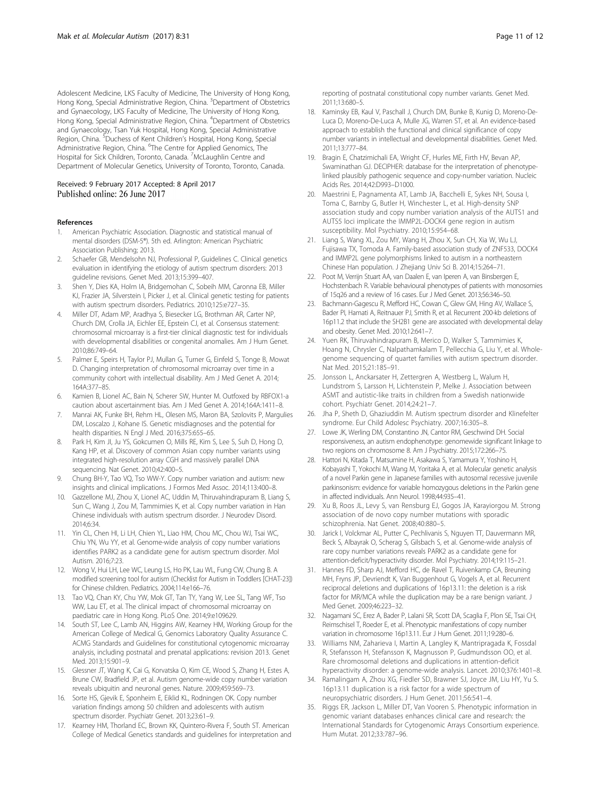<span id="page-10-0"></span>Adolescent Medicine, LKS Faculty of Medicine, The University of Hong Kong, Hong Kong, Special Administrative Region, China. <sup>3</sup>Department of Obstetrics and Gynaecology, LKS Faculty of Medicine, The University of Hong Kong, Hong Kong, Special Administrative Region, China. <sup>4</sup>Department of Obstetrics and Gynaecology, Tsan Yuk Hospital, Hong Kong, Special Administrative Region, China. <sup>5</sup>Duchess of Kent Children's Hospital, Hong Kong, Special Administrative Region, China. <sup>6</sup>The Centre for Applied Genomics, The Hospital for Sick Children, Toronto, Canada. <sup>7</sup>McLaughlin Centre and Department of Molecular Genetics, University of Toronto, Toronto, Canada.

#### Received: 9 February 2017 Accepted: 8 April 2017 Published online: 26 June 2017

#### References

- 1. American Psychiatric Association. Diagnostic and statistical manual of mental disorders (DSM-5®). 5th ed. Arlington: American Psychiatric Association Publishing; 2013.
- 2. Schaefer GB, Mendelsohn NJ, Professional P, Guidelines C. Clinical genetics evaluation in identifying the etiology of autism spectrum disorders: 2013 guideline revisions. Genet Med. 2013;15:399–407.
- 3. Shen Y, Dies KA, Holm IA, Bridgemohan C, Sobeih MM, Caronna EB, Miller KJ, Frazier JA, Silverstein I, Picker J, et al. Clinical genetic testing for patients with autism spectrum disorders. Pediatrics. 2010;125:e727–35.
- 4. Miller DT, Adam MP, Aradhya S, Biesecker LG, Brothman AR, Carter NP, Church DM, Crolla JA, Eichler EE, Epstein CJ, et al. Consensus statement: chromosomal microarray is a first-tier clinical diagnostic test for individuals with developmental disabilities or congenital anomalies. Am J Hum Genet. 2010;86:749–64.
- Palmer E, Speirs H, Taylor PJ, Mullan G, Turner G, Einfeld S, Tonge B, Mowat D. Changing interpretation of chromosomal microarray over time in a community cohort with intellectual disability. Am J Med Genet A. 2014; 164A:377–85.
- 6. Kamien B, Lionel AC, Bain N, Scherer SW, Hunter M. Outfoxed by RBFOX1-a caution about ascertainment bias. Am J Med Genet A. 2014;164A:1411–8.
- 7. Manrai AK, Funke BH, Rehm HL, Olesen MS, Maron BA, Szolovits P, Margulies DM, Loscalzo J, Kohane IS. Genetic misdiagnoses and the potential for health disparities. N Engl J Med. 2016;375:655–65.
- 8. Park H, Kim JI, Ju YS, Gokcumen O, Mills RE, Kim S, Lee S, Suh D, Hong D, Kang HP, et al. Discovery of common Asian copy number variants using integrated high-resolution array CGH and massively parallel DNA sequencing. Nat Genet. 2010;42:400–5.
- 9. Chung BH-Y, Tao VQ, Tso WW-Y. Copy number variation and autism: new insights and clinical implications. J Formos Med Assoc. 2014;113:400–8.
- 10. Gazzellone MJ, Zhou X, Lionel AC, Uddin M, Thiruvahindrapuram B, Liang S, Sun C, Wang J, Zou M, Tammimies K, et al. Copy number variation in Han Chinese individuals with autism spectrum disorder. J Neurodev Disord. 2014;6:34.
- 11. Yin CL, Chen HI, Li LH, Chien YL, Liao HM, Chou MC, Chou WJ, Tsai WC, Chiu YN, Wu YY, et al. Genome-wide analysis of copy number variations identifies PARK2 as a candidate gene for autism spectrum disorder. Mol Autism. 2016;7:23.
- 12. Wong V, Hui LH, Lee WC, Leung LS, Ho PK, Lau WL, Fung CW, Chung B. A modified screening tool for autism (Checklist for Autism in Toddlers [CHAT-23]) for Chinese children. Pediatrics. 2004;114:e166–76.
- 13. Tao VQ, Chan KY, Chu YW, Mok GT, Tan TY, Yang W, Lee SL, Tang WF, Tso WW, Lau ET, et al. The clinical impact of chromosomal microarray on paediatric care in Hong Kong. PLoS One. 2014;9:e109629.
- 14. South ST, Lee C, Lamb AN, Higgins AW, Kearney HM, Working Group for the American College of Medical G, Genomics Laboratory Quality Assurance C. ACMG Standards and Guidelines for constitutional cytogenomic microarray analysis, including postnatal and prenatal applications: revision 2013. Genet Med. 2013;15:901–9.
- 15. Glessner JT, Wang K, Cai G, Korvatska O, Kim CE, Wood S, Zhang H, Estes A, Brune CW, Bradfield JP, et al. Autism genome-wide copy number variation reveals ubiquitin and neuronal genes. Nature. 2009;459:569–73.
- 16. Sorte HS, Gjevik E, Sponheim E, Eiklid KL, Rodningen OK. Copy number variation findings among 50 children and adolescents with autism spectrum disorder. Psychiatr Genet. 2013;23:61–9.
- 17. Kearney HM, Thorland EC, Brown KK, Quintero-Rivera F, South ST. American College of Medical Genetics standards and guidelines for interpretation and

reporting of postnatal constitutional copy number variants. Genet Med. 2011;13:680–5.

- 18. Kaminsky EB, Kaul V, Paschall J, Church DM, Bunke B, Kunig D, Moreno-De-Luca D, Moreno-De-Luca A, Mulle JG, Warren ST, et al. An evidence-based approach to establish the functional and clinical significance of copy number variants in intellectual and developmental disabilities. Genet Med. 2011;13:777–84.
- 19. Bragin E, Chatzimichali EA, Wright CF, Hurles ME, Firth HV, Bevan AP, Swaminathan GJ. DECIPHER: database for the interpretation of phenotypelinked plausibly pathogenic sequence and copy-number variation. Nucleic Acids Res. 2014;42:D993–D1000.
- 20. Maestrini E, Pagnamenta AT, Lamb JA, Bacchelli E, Sykes NH, Sousa I, Toma C, Barnby G, Butler H, Winchester L, et al. High-density SNP association study and copy number variation analysis of the AUTS1 and AUTS5 loci implicate the IMMP2L-DOCK4 gene region in autism susceptibility. Mol Psychiatry. 2010;15:954–68.
- 21. Liang S, Wang XL, Zou MY, Wang H, Zhou X, Sun CH, Xia W, Wu LJ, Fujisawa TX, Tomoda A. Family-based association study of ZNF533, DOCK4 and IMMP2L gene polymorphisms linked to autism in a northeastern Chinese Han population. J Zhejiang Univ Sci B. 2014;15:264–71.
- 22. Poot M, Verrijn Stuart AA, van Daalen E, van Iperen A, van Binsbergen E, Hochstenbach R. Variable behavioural phenotypes of patients with monosomies of 15q26 and a review of 16 cases. Eur J Med Genet. 2013;56:346–50.
- 23. Bachmann-Gagescu R, Mefford HC, Cowan C, Glew GM, Hing AV, Wallace S, Bader PI, Hamati A, Reitnauer PJ, Smith R, et al. Recurrent 200-kb deletions of 16p11.2 that include the SH2B1 gene are associated with developmental delay and obesity. Genet Med. 2010;12:641–7.
- 24. Yuen RK, Thiruvahindrapuram B, Merico D, Walker S, Tammimies K, Hoang N, Chrysler C, Nalpathamkalam T, Pellecchia G, Liu Y, et al. Wholegenome sequencing of quartet families with autism spectrum disorder. Nat Med. 2015;21:185–91.
- 25. Jonsson L, Anckarsater H, Zettergren A, Westberg L, Walum H, Lundstrom S, Larsson H, Lichtenstein P, Melke J. Association between ASMT and autistic-like traits in children from a Swedish nationwide cohort. Psychiatr Genet. 2014;24:21–7.
- 26. Jha P, Sheth D, Ghaziuddin M. Autism spectrum disorder and Klinefelter syndrome. Eur Child Adolesc Psychiatry. 2007;16:305–8.
- 27. Lowe JK, Werling DM, Constantino JN, Cantor RM, Geschwind DH. Social responsiveness, an autism endophenotype: genomewide significant linkage to two regions on chromosome 8. Am J Psychiatry. 2015;172:266–75.
- 28. Hattori N, Kitada T, Matsumine H, Asakawa S, Yamamura Y, Yoshino H, Kobayashi T, Yokochi M, Wang M, Yoritaka A, et al. Molecular genetic analysis of a novel Parkin gene in Japanese families with autosomal recessive juvenile parkinsonism: evidence for variable homozygous deletions in the Parkin gene in affected individuals. Ann Neurol. 1998;44:935–41.
- 29. Xu B, Roos JL, Levy S, van Rensburg EJ, Gogos JA, Karayiorgou M. Strong association of de novo copy number mutations with sporadic schizophrenia. Nat Genet. 2008;40:880–5.
- 30. Jarick I, Volckmar AL, Putter C, Pechlivanis S, Nguyen TT, Dauvermann MR, Beck S, Albayrak O, Scherag S, Gilsbach S, et al. Genome-wide analysis of rare copy number variations reveals PARK2 as a candidate gene for attention-deficit/hyperactivity disorder. Mol Psychiatry. 2014;19:115–21.
- 31. Hannes FD, Sharp AJ, Mefford HC, de Ravel T, Ruivenkamp CA, Breuning MH, Fryns JP, Devriendt K, Van Buggenhout G, Vogels A, et al. Recurrent reciprocal deletions and duplications of 16p13.11: the deletion is a risk factor for MR/MCA while the duplication may be a rare benign variant. J Med Genet. 2009;46:223–32.
- 32. Nagamani SC, Erez A, Bader P, Lalani SR, Scott DA, Scaglia F, Plon SE, Tsai CH, Reimschisel T, Roeder E, et al. Phenotypic manifestations of copy number variation in chromosome 16p13.11. Eur J Hum Genet. 2011;19:280–6.
- 33. Williams NM, Zaharieva I, Martin A, Langley K, Mantripragada K, Fossdal R, Stefansson H, Stefansson K, Magnusson P, Gudmundsson OO, et al. Rare chromosomal deletions and duplications in attention-deficit hyperactivity disorder: a genome-wide analysis. Lancet. 2010;376:1401–8.
- Ramalingam A, Zhou XG, Fiedler SD, Brawner SJ, Joyce JM, Liu HY, Yu S. 16p13.11 duplication is a risk factor for a wide spectrum of neuropsychiatric disorders. J Hum Genet. 2011;56:541–4.
- 35. Riggs ER, Jackson L, Miller DT, Van Vooren S. Phenotypic information in genomic variant databases enhances clinical care and research: the International Standards for Cytogenomic Arrays Consortium experience. Hum Mutat. 2012;33:787–96.